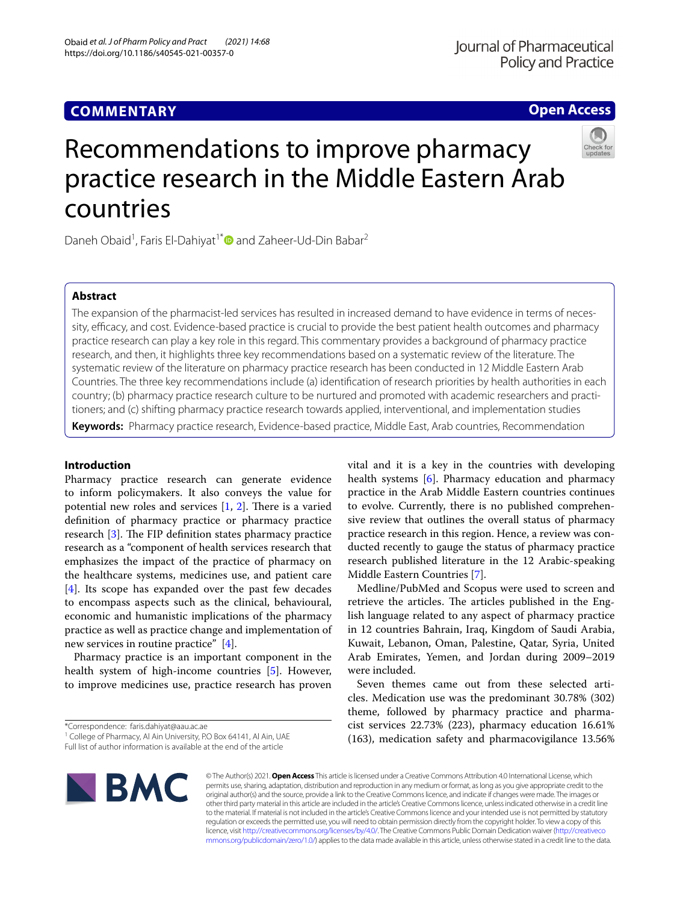# **Open Access**



# Recommendations to improve pharmacy practice research in the Middle Eastern Arab countries

Daneh Obaid<sup>1</sup>, Faris El-Dahiyat<sup>1[\\*](http://orcid.org/0000-0002-5264-8699)</sup> and Zaheer-Ud-Din Babar<sup>2</sup>

## **Abstract**

The expansion of the pharmacist-led services has resulted in increased demand to have evidence in terms of necessity, efficacy, and cost. Evidence-based practice is crucial to provide the best patient health outcomes and pharmacy practice research can play a key role in this regard. This commentary provides a background of pharmacy practice research, and then, it highlights three key recommendations based on a systematic review of the literature. The systematic review of the literature on pharmacy practice research has been conducted in 12 Middle Eastern Arab Countries. The three key recommendations include (a) identifcation of research priorities by health authorities in each country; (b) pharmacy practice research culture to be nurtured and promoted with academic researchers and practitioners; and (c) shifting pharmacy practice research towards applied, interventional, and implementation studies

**Keywords:** Pharmacy practice research, Evidence-based practice, Middle East, Arab countries, Recommendation

## **Introduction**

Pharmacy practice research can generate evidence to inform policymakers. It also conveys the value for potential new roles and services  $[1, 2]$  $[1, 2]$  $[1, 2]$  $[1, 2]$  $[1, 2]$ . There is a varied defnition of pharmacy practice or pharmacy practice research  $[3]$  $[3]$ . The FIP definition states pharmacy practice research as a "component of health services research that emphasizes the impact of the practice of pharmacy on the healthcare systems, medicines use, and patient care [[4\]](#page-1-3). Its scope has expanded over the past few decades to encompass aspects such as the clinical, behavioural, economic and humanistic implications of the pharmacy practice as well as practice change and implementation of new services in routine practice" [\[4](#page-1-3)].

Pharmacy practice is an important component in the health system of high-income countries [[5\]](#page-1-4). However, to improve medicines use, practice research has proven

\*Correspondence: faris.dahiyat@aau.ac.ae

Full list of author information is available at the end of the article

vital and it is a key in the countries with developing health systems [[6\]](#page-1-5). Pharmacy education and pharmacy practice in the Arab Middle Eastern countries continues to evolve. Currently, there is no published comprehensive review that outlines the overall status of pharmacy practice research in this region. Hence, a review was conducted recently to gauge the status of pharmacy practice research published literature in the 12 Arabic-speaking Middle Eastern Countries [[7\]](#page-1-6).

Medline/PubMed and Scopus were used to screen and retrieve the articles. The articles published in the English language related to any aspect of pharmacy practice in 12 countries Bahrain, Iraq, Kingdom of Saudi Arabia, Kuwait, Lebanon, Oman, Palestine, Qatar, Syria, United Arab Emirates, Yemen, and Jordan during 2009–2019 were included.

Seven themes came out from these selected articles. Medication use was the predominant 30.78% (302) theme, followed by pharmacy practice and pharmacist services 22.73% (223), pharmacy education 16.61% (163), medication safety and pharmacovigilance 13.56%



© The Author(s) 2021. **Open Access** This article is licensed under a Creative Commons Attribution 4.0 International License, which permits use, sharing, adaptation, distribution and reproduction in any medium or format, as long as you give appropriate credit to the original author(s) and the source, provide a link to the Creative Commons licence, and indicate if changes were made. The images or other third party material in this article are included in the article's Creative Commons licence, unless indicated otherwise in a credit line to the material. If material is not included in the article's Creative Commons licence and your intended use is not permitted by statutory regulation or exceeds the permitted use, you will need to obtain permission directly from the copyright holder. To view a copy of this licence, visit [http://creativecommons.org/licenses/by/4.0/.](http://creativecommons.org/licenses/by/4.0/) The Creative Commons Public Domain Dedication waiver ([http://creativeco](http://creativecommons.org/publicdomain/zero/1.0/) [mmons.org/publicdomain/zero/1.0/](http://creativecommons.org/publicdomain/zero/1.0/)) applies to the data made available in this article, unless otherwise stated in a credit line to the data.

<sup>&</sup>lt;sup>1</sup> College of Pharmacy, Al Ain University, P.O Box 64141, Al Ain, UAE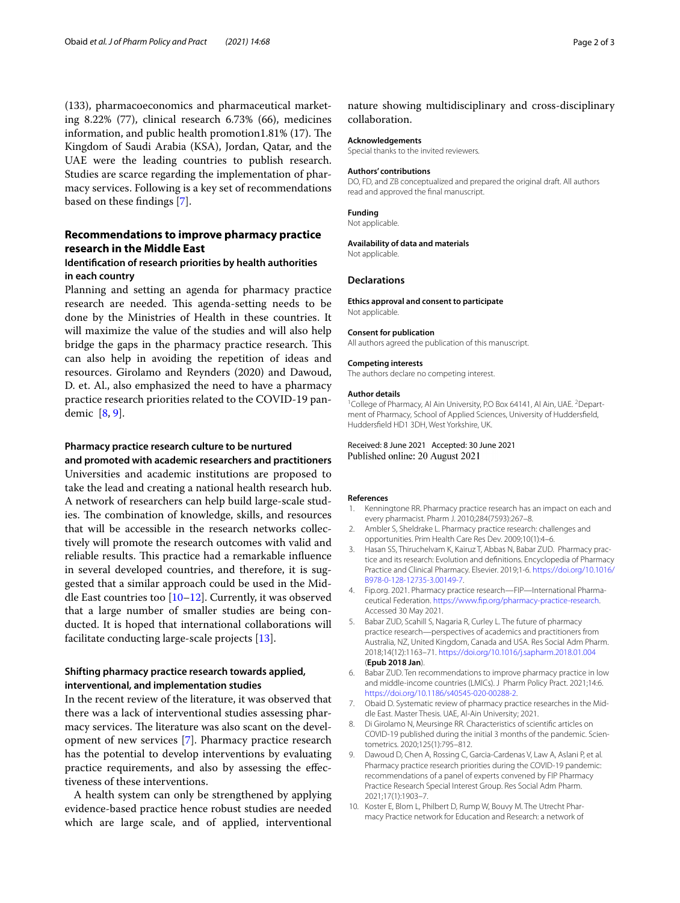(133), pharmacoeconomics and pharmaceutical marketing 8.22% (77), clinical research 6.73% (66), medicines information, and public health promotion1.81%  $(17)$ . The Kingdom of Saudi Arabia (KSA), Jordan, Qatar, and the UAE were the leading countries to publish research. Studies are scarce regarding the implementation of pharmacy services. Following is a key set of recommendations based on these fndings [\[7](#page-1-6)].

# **Recommendations to improve pharmacy practice research in the Middle East**

## **Identifcation of research priorities by health authorities in each country**

Planning and setting an agenda for pharmacy practice research are needed. This agenda-setting needs to be done by the Ministries of Health in these countries. It will maximize the value of the studies and will also help bridge the gaps in the pharmacy practice research. This can also help in avoiding the repetition of ideas and resources. Girolamo and Reynders (2020) and Dawoud, D. et. Al., also emphasized the need to have a pharmacy practice research priorities related to the COVID-19 pandemic [[8](#page-1-7), [9\]](#page-1-8).

## **Pharmacy practice research culture to be nurtured**

**and promoted with academic researchers and practitioners** Universities and academic institutions are proposed to take the lead and creating a national health research hub. A network of researchers can help build large-scale studies. The combination of knowledge, skills, and resources that will be accessible in the research networks collectively will promote the research outcomes with valid and reliable results. This practice had a remarkable influence in several developed countries, and therefore, it is suggested that a similar approach could be used in the Middle East countries too [[10](#page-1-9)[–12](#page-2-0)]. Currently, it was observed that a large number of smaller studies are being conducted. It is hoped that international collaborations will facilitate conducting large-scale projects [[13](#page-2-1)].

## **Shifting pharmacy practice research towards applied, interventional, and implementation studies**

In the recent review of the literature, it was observed that there was a lack of interventional studies assessing pharmacy services. The literature was also scant on the development of new services [\[7](#page-1-6)]. Pharmacy practice research has the potential to develop interventions by evaluating practice requirements, and also by assessing the efectiveness of these interventions.

A health system can only be strengthened by applying evidence-based practice hence robust studies are needed which are large scale, and of applied, interventional

nature showing multidisciplinary and cross-disciplinary collaboration.

#### **Acknowledgements**

Special thanks to the invited reviewers.

#### **Authors' contributions**

DO, FD, and ZB conceptualized and prepared the original draft. All authors read and approved the fnal manuscript.

#### **Funding**

Not applicable.

### **Availability of data and materials**

Not applicable.

#### **Declarations**

**Ethics approval and consent to participate** Not applicable.

#### **Consent for publication**

All authors agreed the publication of this manuscript.

#### **Competing interests**

The authors declare no competing interest.

#### **Author details**

<sup>1</sup> College of Pharmacy, Al Ain University, P.O Box 64141, Al Ain, UAE. <sup>2</sup> Department of Pharmacy, School of Applied Sciences, University of Huddersfeld, Huddersfeld HD1 3DH, West Yorkshire, UK.

Received: 8 June 2021 Accepted: 30 June 2021 Published online: 20 August 2021

#### **References**

- <span id="page-1-0"></span>1. Kenningtone RR. Pharmacy practice research has an impact on each and every pharmacist. Pharm J. 2010;284(7593):267–8.
- <span id="page-1-1"></span>2. Ambler S, Sheldrake L. Pharmacy practice research: challenges and opportunities. Prim Health Care Res Dev. 2009;10(1):4–6.
- <span id="page-1-2"></span>3. Hasan SS, Thiruchelvam K, Kairuz T, Abbas N, Babar ZUD. Pharmacy practice and its research: Evolution and defnitions. Encyclopedia of Pharmacy Practice and Clinical Pharmacy. Elsevier. 2019;1-6. [https://doi.org/10.1016/](https://doi.org/10.1016/B978-0-128-12735-3.00149-7) [B978-0-128-12735-3.00149-7.](https://doi.org/10.1016/B978-0-128-12735-3.00149-7)
- <span id="page-1-3"></span>4. Fip.org. 2021. Pharmacy practice research-FIP-International Pharmaceutical Federation. [https://www.fp.org/pharmacy-practice-research.](https://www.fip.org/pharmacy-practice-research) Accessed 30 May 2021.
- <span id="page-1-4"></span>5. Babar ZUD, Scahill S, Nagaria R, Curley L. The future of pharmacy practice research—perspectives of academics and practitioners from Australia, NZ, United Kingdom, Canada and USA. Res Social Adm Pharm. 2018;14(12):1163–71.<https://doi.org/10.1016/j.sapharm.2018.01.004> (**Epub 2018 Jan**).
- <span id="page-1-5"></span>6. Babar ZUD. Ten recommendations to improve pharmacy practice in low and middle-income countries (LMICs). J Pharm Policy Pract. 2021;14:6. <https://doi.org/10.1186/s40545-020-00288-2>.
- <span id="page-1-6"></span>7. Obaid D. Systematic review of pharmacy practice researches in the Middle East. Master Thesis. UAE, Al-Ain University; 2021.
- <span id="page-1-7"></span>8. Di Girolamo N, Meursinge RR. Characteristics of scientifc articles on COVID-19 published during the initial 3 months of the pandemic. Scientometrics. 2020;125(1):795–812.
- <span id="page-1-8"></span>9. Dawoud D, Chen A, Rossing C, Garcia-Cardenas V, Law A, Aslani P, et al. Pharmacy practice research priorities during the COVID-19 pandemic: recommendations of a panel of experts convened by FIP Pharmacy Practice Research Special Interest Group. Res Social Adm Pharm. 2021;17(1):1903–7.
- <span id="page-1-9"></span>10. Koster E, Blom L, Philbert D, Rump W, Bouvy M. The Utrecht Pharmacy Practice network for Education and Research: a network of